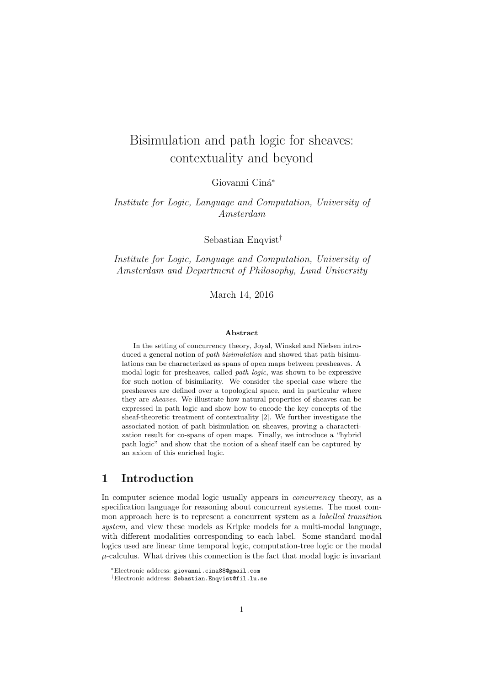# Bisimulation and path logic for sheaves: contextuality and beyond

Giovanni Ciná\*

### Institute for Logic, Language and Computation, University of Amsterdam

Sebastian Enqvist†

Institute for Logic, Language and Computation, University of Amsterdam and Department of Philosophy, Lund University

March 14, 2016

#### Abstract

In the setting of concurrency theory, Joyal, Winskel and Nielsen introduced a general notion of path bisimulation and showed that path bisimulations can be characterized as spans of open maps between presheaves. A modal logic for presheaves, called path logic, was shown to be expressive for such notion of bisimilarity. We consider the special case where the presheaves are defined over a topological space, and in particular where they are sheaves. We illustrate how natural properties of sheaves can be expressed in path logic and show how to encode the key concepts of the sheaf-theoretic treatment of contextuality [2]. We further investigate the associated notion of path bisimulation on sheaves, proving a characterization result for co-spans of open maps. Finally, we introduce a "hybrid path logic" and show that the notion of a sheaf itself can be captured by an axiom of this enriched logic.

### 1 Introduction

In computer science modal logic usually appears in *concurrency* theory, as a specification language for reasoning about concurrent systems. The most common approach here is to represent a concurrent system as a *labelled transition* system, and view these models as Kripke models for a multi-modal language, with different modalities corresponding to each label. Some standard modal logics used are linear time temporal logic, computation-tree logic or the modal  $\mu$ -calculus. What drives this connection is the fact that modal logic is invariant

<sup>∗</sup>Electronic address: giovanni.cina88@gmail.com

<sup>†</sup>Electronic address: Sebastian.Enqvist@fil.lu.se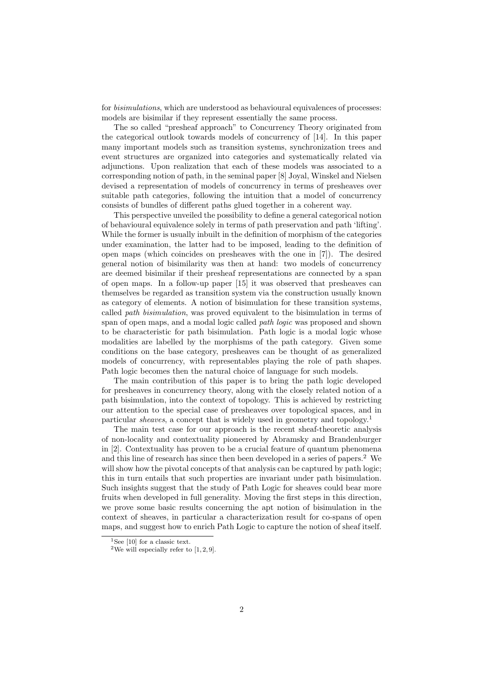for *bisimulations*, which are understood as behavioural equivalences of processes: models are bisimilar if they represent essentially the same process.

The so called "presheaf approach" to Concurrency Theory originated from the categorical outlook towards models of concurrency of [14]. In this paper many important models such as transition systems, synchronization trees and event structures are organized into categories and systematically related via adjunctions. Upon realization that each of these models was associated to a corresponding notion of path, in the seminal paper [8] Joyal, Winskel and Nielsen devised a representation of models of concurrency in terms of presheaves over suitable path categories, following the intuition that a model of concurrency consists of bundles of different paths glued together in a coherent way.

This perspective unveiled the possibility to define a general categorical notion of behavioural equivalence solely in terms of path preservation and path 'lifting'. While the former is usually inbuilt in the definition of morphism of the categories under examination, the latter had to be imposed, leading to the definition of open maps (which coincides on presheaves with the one in [7]). The desired general notion of bisimilarity was then at hand: two models of concurrency are deemed bisimilar if their presheaf representations are connected by a span of open maps. In a follow-up paper [15] it was observed that presheaves can themselves be regarded as transition system via the construction usually known as category of elements. A notion of bisimulation for these transition systems, called path bisimulation, was proved equivalent to the bisimulation in terms of span of open maps, and a modal logic called *path logic* was proposed and shown to be characteristic for path bisimulation. Path logic is a modal logic whose modalities are labelled by the morphisms of the path category. Given some conditions on the base category, presheaves can be thought of as generalized models of concurrency, with representables playing the role of path shapes. Path logic becomes then the natural choice of language for such models.

The main contribution of this paper is to bring the path logic developed for presheaves in concurrency theory, along with the closely related notion of a path bisimulation, into the context of topology. This is achieved by restricting our attention to the special case of presheaves over topological spaces, and in particular *sheaves*, a concept that is widely used in geometry and topology.<sup>1</sup>

The main test case for our approach is the recent sheaf-theoretic analysis of non-locality and contextuality pioneered by Abramsky and Brandenburger in [2]. Contextuality has proven to be a crucial feature of quantum phenomena and this line of research has since then been developed in a series of papers.<sup>2</sup> We will show how the pivotal concepts of that analysis can be captured by path logic; this in turn entails that such properties are invariant under path bisimulation. Such insights suggest that the study of Path Logic for sheaves could bear more fruits when developed in full generality. Moving the first steps in this direction, we prove some basic results concerning the apt notion of bisimulation in the context of sheaves, in particular a characterization result for co-spans of open maps, and suggest how to enrich Path Logic to capture the notion of sheaf itself.

<sup>&</sup>lt;sup>1</sup>See [10] for a classic text.

<sup>&</sup>lt;sup>2</sup>We will especially refer to  $[1, 2, 9]$ .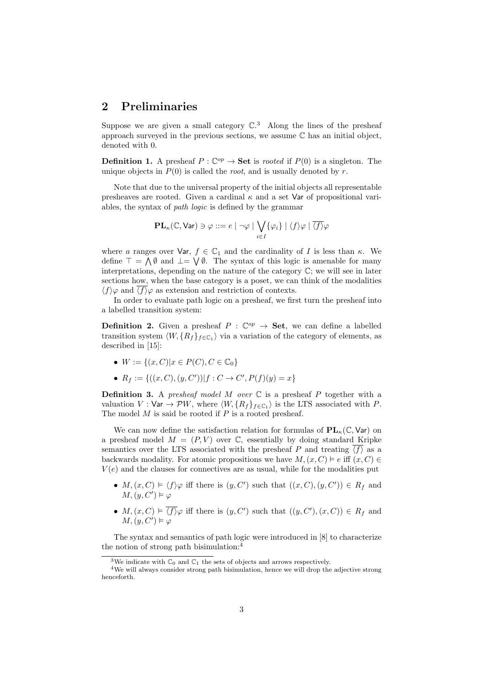### 2 Preliminaries

Suppose we are given a small category  $\mathbb{C}^3$  Along the lines of the presheaf approach surveyed in the previous sections, we assume C has an initial object, denoted with 0.

**Definition 1.** A presheaf  $P : \mathbb{C}^{op} \to \mathbf{Set}$  is *rooted* if  $P(0)$  is a singleton. The unique objects in  $P(0)$  is called the *root*, and is usually denoted by r.

Note that due to the universal property of the initial objects all representable presheaves are rooted. Given a cardinal  $\kappa$  and a set Var of propositional variables, the syntax of path logic is defined by the grammar

$$
\mathbf{PL}_{\kappa}(\mathbb{C}, \mathsf{Var}) \ni \varphi ::= e \mid \neg \varphi \mid \bigvee_{i \in I} \{ \varphi_i \} \mid \langle f \rangle \varphi \mid \overline{\langle f \rangle} \varphi
$$

where a ranges over Var,  $f \in \mathbb{C}_1$  and the cardinality of I is less than  $\kappa$ . We define  $\top = \bigwedge \emptyset$  and  $\bot = \bigvee \emptyset$ . The syntax of this logic is amenable for many interpretations, depending on the nature of the category C; we will see in later sections how, when the base category is a poset, we can think of the modalities  $\langle f \rangle \varphi$  and  $\langle f \rangle \varphi$  as extension and restriction of contexts.

In order to evaluate path logic on a presheaf, we first turn the presheaf into a labelled transition system:

**Definition 2.** Given a presheaf  $P : \mathbb{C}^{op} \to \mathbf{Set}$ , we can define a labelled transition system  $\langle W, \{R_f\}_{f \in \mathbb{C}_1}$  via a variation of the category of elements, as described in [15]:

- $W := \{(x, C) | x \in P(C), C \in \mathbb{C}_0\}$
- $R_f := \{((x, C), (y, C')) | f : C \to C', P(f)(y) = x\}$

**Definition 3.** A presheaf model M over  $\mathbb C$  is a presheaf P together with a valuation  $V: \text{Var} \to \mathcal{P}W$ , where  $\langle W, \{R_f\}_{f \in \mathbb{C}_1}$  is the LTS associated with P. The model  $M$  is said be rooted if  $P$  is a rooted presheaf.

We can now define the satisfaction relation for formulas of  $PL_{\kappa}(\mathbb{C}, \mathsf{Var})$  on a presheaf model  $M = (P, V)$  over  $\mathbb{C}$ , essentially by doing standard Kripke semantics over the LTS associated with the presheaf P and treating  $\langle f \rangle$  as a backwards modality. For atomic propositions we have  $M,(x, C) \vDash e$  iff  $(x, C) \in$  $V(e)$  and the clauses for connectives are as usual, while for the modalities put

- $M, (x, C) \models \langle f \rangle \varphi$  iff there is  $(y, C')$  such that  $((x, C), (y, C')) \in R_f$  and  $M,(y,C')\vDash\varphi$
- $M, (x, C) \vDash \overline{\langle f \rangle} \varphi$  iff there is  $(y, C')$  such that  $((y, C'), (x, C)) \in R_f$  and  $M,(y,C')\vDash\varphi$

The syntax and semantics of path logic were introduced in [8] to characterize the notion of strong path bisimulation:<sup>4</sup>

<sup>&</sup>lt;sup>3</sup>We indicate with  $\mathbb{C}_0$  and  $\mathbb{C}_1$  the sets of objects and arrows respectively.

<sup>4</sup>We will always consider strong path bisimulation, hence we will drop the adjective strong henceforth.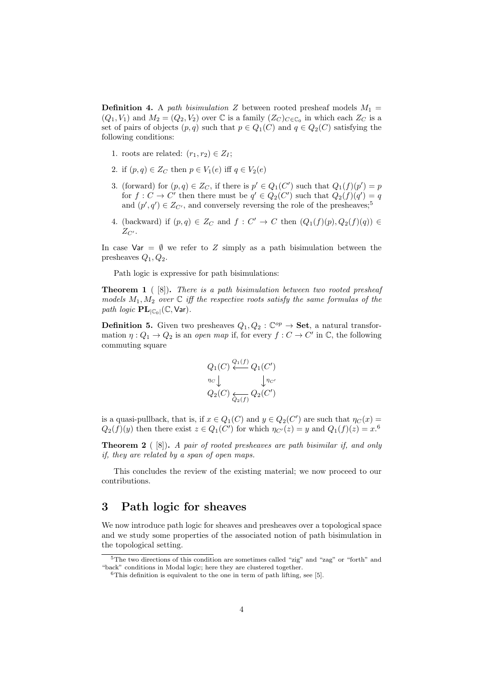**Definition 4.** A path bisimulation Z between rooted presheaf models  $M_1$  =  $(Q_1, V_1)$  and  $M_2 = (Q_2, V_2)$  over  $\mathbb C$  is a family  $(Z_C)_{C \in \mathbb C_0}$  in which each  $Z_C$  is a set of pairs of objects  $(p, q)$  such that  $p \in Q_1(C)$  and  $q \in Q_2(C)$  satisfying the following conditions:

- 1. roots are related:  $(r_1, r_2) \in Z_I$ ;
- 2. if  $(p,q) \in Z_C$  then  $p \in V_1(e)$  iff  $q \in V_2(e)$
- 3. (forward) for  $(p,q) \in Z_C$ , if there is  $p' \in Q_1(C')$  such that  $Q_1(f)(p') = p$ for  $f: C \to C'$  then there must be  $q' \in Q_2(C')$  such that  $Q_2(f)(q') = q$ and  $(p', q') \in Z_{C'}$ , and conversely reversing the role of the presheaves;<sup>5</sup>
- 4. (backward) if  $(p,q) \in Z_C$  and  $f: C' \to C$  then  $(Q_1(f)(p), Q_2(f)(q)) \in$  $Z_{C}$ .

In case Var =  $\emptyset$  we refer to Z simply as a path bisimulation between the presheaves  $Q_1, Q_2$ .

Path logic is expressive for path bisimulations:

**Theorem 1** ( $[8]$ ). There is a path bisimulation between two rooted presheaf models  $M_1, M_2$  over  $\mathbb C$  iff the respective roots satisfy the same formulas of the path logic  $\mathbf{PL}_{|\mathbb{C}_0|}(\mathbb{C}, \mathsf{Var}).$ 

**Definition 5.** Given two presheaves  $Q_1, Q_2$ :  $\mathbb{C}^{op} \to \mathbf{Set}$ , a natural transformation  $\eta: Q_1 \to Q_2$  is an open map if, for every  $f: C \to C'$  in  $\mathbb{C}$ , the following commuting square

$$
Q_1(C) \stackrel{Q_1(f)}{\longleftarrow} Q_1(C')
$$
  
\n
$$
\eta_C \downarrow \qquad \qquad \downarrow \eta_{C'}
$$
  
\n
$$
Q_2(C) \underset{Q_2(f)}{\longleftarrow} Q_2(C')
$$

is a quasi-pullback, that is, if  $x \in Q_1(C)$  and  $y \in Q_2(C')$  are such that  $\eta_C(x) =$  $Q_2(f)(y)$  then there exist  $z \in Q_1(C')$  for which  $\eta_{C'}(z) = y$  and  $Q_1(f)(z) = x$ .<sup>6</sup>

**Theorem 2** ( $[8]$ ). A pair of rooted presheaves are path bisimilar if, and only if, they are related by a span of open maps.

This concludes the review of the existing material; we now proceed to our contributions.

### 3 Path logic for sheaves

We now introduce path logic for sheaves and presheaves over a topological space and we study some properties of the associated notion of path bisimulation in the topological setting.

<sup>5</sup>The two directions of this condition are sometimes called "zig" and "zag" or "forth" and "back" conditions in Modal logic; here they are clustered together.

 $6$ This definition is equivalent to the one in term of path lifting, see [5].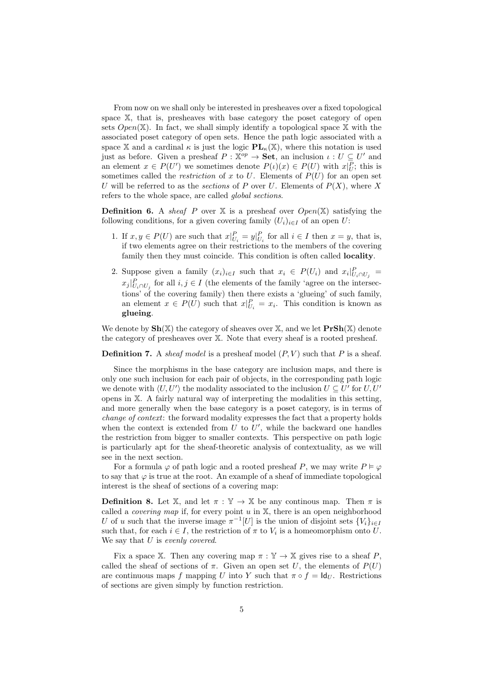From now on we shall only be interested in presheaves over a fixed topological space X, that is, presheaves with base category the poset category of open sets  $Open(\mathbb{X})$ . In fact, we shall simply identify a topological space  $\mathbb{X}$  with the associated poset category of open sets. Hence the path logic associated with a space X and a cardinal  $\kappa$  is just the logic  $\mathbf{PL}_{\kappa}(\mathbb{X})$ , where this notation is used just as before. Given a presheaf  $P : \mathbb{X}^{op} \to \mathbf{Set}$ , an inclusion  $\iota : U \subseteq U'$  and an element  $x \in P(U')$  we sometimes denote  $P(\iota)(x) \in P(U)$  with  $x|_U^P$ ; this is sometimes called the *restriction* of x to U. Elements of  $P(U)$  for an open set U will be referred to as the sections of P over U. Elements of  $P(X)$ , where X refers to the whole space, are called global sections.

**Definition 6.** A sheaf P over  $X$  is a presheaf over  $Open(X)$  satisfying the following conditions, for a given covering family  $(U_i)_{i\in I}$  of an open U:

- 1. If  $x, y \in P(U)$  are such that  $x|_{U_i}^P = y|_{U_i}^P$  for all  $i \in I$  then  $x = y$ , that is, if two elements agree on their restrictions to the members of the covering family then they must coincide. This condition is often called **locality**.
- 2. Suppose given a family  $(x_i)_{i\in I}$  such that  $x_i \in P(U_i)$  and  $x_i|_{U_i \cap U_j}^P =$  $x_j|_{U_i \cap U_j}^P$  for all  $i, j \in I$  (the elements of the family 'agree on the intersections' of the covering family) then there exists a 'glueing' of such family, an element  $x \in P(U)$  such that  $x|_{U_i}^P = x_i$ . This condition is known as glueing.

We denote by  $\mathbf{Sh}(\mathbb{X})$  the category of sheaves over  $\mathbb{X}$ , and we let  $\mathbf{PrSh}(\mathbb{X})$  denote the category of presheaves over X. Note that every sheaf is a rooted presheaf.

**Definition 7.** A sheaf model is a presheaf model  $(P, V)$  such that P is a sheaf.

Since the morphisms in the base category are inclusion maps, and there is only one such inclusion for each pair of objects, in the corresponding path logic we denote with  $\langle U, U' \rangle$  the modality associated to the inclusion  $U \subseteq U'$  for  $U, U'$ opens in X. A fairly natural way of interpreting the modalities in this setting, and more generally when the base category is a poset category, is in terms of change of context: the forward modality expresses the fact that a property holds when the context is extended from  $U$  to  $U'$ , while the backward one handles the restriction from bigger to smaller contexts. This perspective on path logic is particularly apt for the sheaf-theoretic analysis of contextuality, as we will see in the next section.

For a formula  $\varphi$  of path logic and a rooted presheaf P, we may write  $P \models \varphi$ to say that  $\varphi$  is true at the root. An example of a sheaf of immediate topological interest is the sheaf of sections of a covering map:

**Definition 8.** Let  $\mathbb{X}$ , and let  $\pi : \mathbb{Y} \to \mathbb{X}$  be any continuous map. Then  $\pi$  is called a *covering map* if, for every point  $u$  in  $X$ , there is an open neighborhood U of u such that the inverse image  $\pi^{-1}[U]$  is the union of disjoint sets  $\{V_i\}_{i\in I}$ such that, for each  $i \in I$ , the restriction of  $\pi$  to  $V_i$  is a homeomorphism onto U. We say that U is evenly covered.

Fix a space X. Then any covering map  $\pi : \mathbb{Y} \to \mathbb{X}$  gives rise to a sheaf P, called the sheaf of sections of  $\pi$ . Given an open set U, the elements of  $P(U)$ are continuous maps f mapping U into Y such that  $\pi \circ f = \mathsf{Id}_U$ . Restrictions of sections are given simply by function restriction.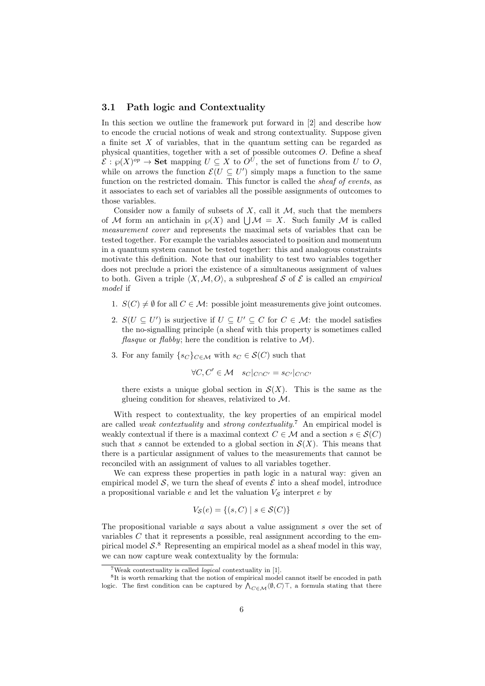### 3.1 Path logic and Contextuality

In this section we outline the framework put forward in [2] and describe how to encode the crucial notions of weak and strong contextuality. Suppose given a finite set  $X$  of variables, that in the quantum setting can be regarded as physical quantities, together with a set of possible outcomes  $O$ . Define a sheaf  $\mathcal{E}: \wp(X)^{op} \to \mathbf{Set}$  mapping  $U \subseteq X$  to  $O^U$ , the set of functions from U to O, while on arrows the function  $\mathcal{E}(U \subseteq U')$  simply maps a function to the same function on the restricted domain. This functor is called the *sheaf of events*, as it associates to each set of variables all the possible assignments of outcomes to those variables.

Consider now a family of subsets of  $X$ , call it  $M$ , such that the members of M form an antichain in  $\wp(X)$  and  $\bigcup \mathcal{M} = X$ . Such family M is called measurement cover and represents the maximal sets of variables that can be tested together. For example the variables associated to position and momentum in a quantum system cannot be tested together: this and analogous constraints motivate this definition. Note that our inability to test two variables together does not preclude a priori the existence of a simultaneous assignment of values to both. Given a triple  $\langle X,\mathcal{M}, O \rangle$ , a subpresheaf S of E is called an *empirical* model if

- 1.  $S(C) \neq \emptyset$  for all  $C \in \mathcal{M}$ : possible joint measurements give joint outcomes.
- 2.  $S(U \subseteq U')$  is surjective if  $U \subseteq U' \subseteq C$  for  $C \in \mathcal{M}$ : the model satisfies the no-signalling principle (a sheaf with this property is sometimes called *flasque* or *flabby*; here the condition is relative to  $\mathcal{M}$ ).
- 3. For any family  $\{s_C\}_{C \in \mathcal{M}}$  with  $s_C \in \mathcal{S}(C)$  such that

 $\forall C, C' \in \mathcal{M} \quad s_C|_{C \cap C'} = s_{C'}|_{C \cap C'}$ 

there exists a unique global section in  $\mathcal{S}(X)$ . This is the same as the glueing condition for sheaves, relativized to M.

With respect to contextuality, the key properties of an empirical model are called *weak contextuality* and *strong contextuality.*<sup>7</sup> An empirical model is weakly contextual if there is a maximal context  $C \in \mathcal{M}$  and a section  $s \in \mathcal{S}(C)$ such that s cannot be extended to a global section in  $\mathcal{S}(X)$ . This means that there is a particular assignment of values to the measurements that cannot be reconciled with an assignment of values to all variables together.

We can express these properties in path logic in a natural way: given an empirical model  $\mathcal{S}$ , we turn the sheaf of events  $\mathcal{E}$  into a sheaf model, introduce a propositional variable e and let the valuation  $V_{\mathcal{S}}$  interpret e by

$$
V_{\mathcal{S}}(e) = \{(s, C) \mid s \in \mathcal{S}(C)\}\
$$

The propositional variable a says about a value assignment s over the set of variables  $C$  that it represents a possible, real assignment according to the empirical model  $S$ <sup>8</sup>. Representing an empirical model as a sheaf model in this way, we can now capture weak contextuality by the formula:

<sup>&</sup>lt;sup>7</sup>Weak contextuality is called *logical* contextuality in [1].

<sup>&</sup>lt;sup>8</sup>It is worth remarking that the notion of empirical model cannot itself be encoded in path logic. The first condition can be captured by  $\bigwedge_{C \in \mathcal{M}} \langle \emptyset, C \rangle$ , a formula stating that there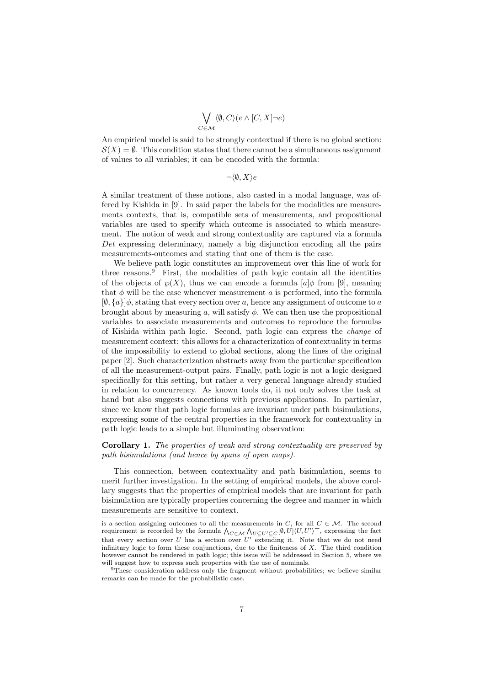$$
\bigvee_{C \in \mathcal{M}} \langle \emptyset, C \rangle (e \wedge [C, X] \neg e)
$$

An empirical model is said to be strongly contextual if there is no global section:  $\mathcal{S}(X) = \emptyset$ . This condition states that there cannot be a simultaneous assignment of values to all variables; it can be encoded with the formula:

 $\neg \langle \emptyset, X \rangle e$ 

A similar treatment of these notions, also casted in a modal language, was offered by Kishida in [9]. In said paper the labels for the modalities are measurements contexts, that is, compatible sets of measurements, and propositional variables are used to specify which outcome is associated to which measurement. The notion of weak and strong contextuality are captured via a formula Det expressing determinacy, namely a big disjunction encoding all the pairs measurements-outcomes and stating that one of them is the case.

We believe path logic constitutes an improvement over this line of work for three reasons. $9$  First, the modalities of path logic contain all the identities of the objects of  $\wp(X)$ , thus we can encode a formula  $[a]\phi$  from [9], meaning that  $\phi$  will be the case whenever measurement a is performed, into the formula  $[\emptyset, \{a\}]$ <sub> $\emptyset$ </sub>, stating that every section over a, hence any assignment of outcome to a brought about by measuring a, will satisfy  $\phi$ . We can then use the propositional variables to associate measurements and outcomes to reproduce the formulas of Kishida within path logic. Second, path logic can express the change of measurement context: this allows for a characterization of contextuality in terms of the impossibility to extend to global sections, along the lines of the original paper [2]. Such characterization abstracts away from the particular specification of all the measurement-output pairs. Finally, path logic is not a logic designed specifically for this setting, but rather a very general language already studied in relation to concurrency. As known tools do, it not only solves the task at hand but also suggests connections with previous applications. In particular, since we know that path logic formulas are invariant under path bisimulations, expressing some of the central properties in the framework for contextuality in path logic leads to a simple but illuminating observation:

#### Corollary 1. The properties of weak and strong contextuality are preserved by path bisimulations (and hence by spans of open maps).

This connection, between contextuality and path bisimulation, seems to merit further investigation. In the setting of empirical models, the above corollary suggests that the properties of empirical models that are invariant for path bisimulation are typically properties concerning the degree and manner in which measurements are sensitive to context.

is a section assigning outcomes to all the measurements in C, for all  $C \in \mathcal{M}$ . The second requirement is recorded by the formula  $\bigwedge_{C \in \mathcal{M}} \bigwedge_{U \subseteq U' \subseteq C} [\emptyset, U] \langle U, U' \rangle \top$ , expressing the fact that every section over U has a section over  $U'$  extending it. Note that we do not need infinitary logic to form these conjunctions, due to the finiteness of  $X$ . The third condition however cannot be rendered in path logic; this issue will be addressed in Section 5, where we will suggest how to express such properties with the use of nominals.

<sup>&</sup>lt;sup>9</sup>These consideration address only the fragment without probabilities; we believe similar remarks can be made for the probabilistic case.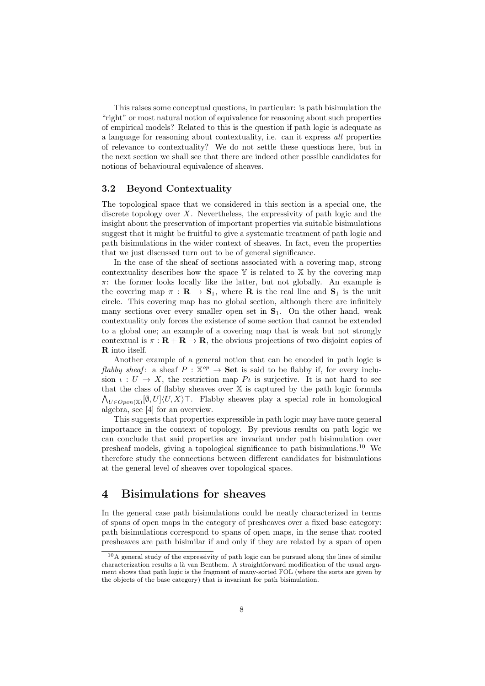This raises some conceptual questions, in particular: is path bisimulation the "right" or most natural notion of equivalence for reasoning about such properties of empirical models? Related to this is the question if path logic is adequate as a language for reasoning about contextuality, i.e. can it express all properties of relevance to contextuality? We do not settle these questions here, but in the next section we shall see that there are indeed other possible candidates for notions of behavioural equivalence of sheaves.

### 3.2 Beyond Contextuality

The topological space that we considered in this section is a special one, the discrete topology over X. Nevertheless, the expressivity of path logic and the insight about the preservation of important properties via suitable bisimulations suggest that it might be fruitful to give a systematic treatment of path logic and path bisimulations in the wider context of sheaves. In fact, even the properties that we just discussed turn out to be of general significance.

In the case of the sheaf of sections associated with a covering map, strong contextuality describes how the space  $Y$  is related to  $X$  by the covering map  $\pi$ : the former looks locally like the latter, but not globally. An example is the covering map  $\pi : \mathbf{R} \to \mathbf{S}_1$ , where **R** is the real line and  $\mathbf{S}_1$  is the unit circle. This covering map has no global section, although there are infinitely many sections over every smaller open set in  $S_1$ . On the other hand, weak contextuality only forces the existence of some section that cannot be extended to a global one; an example of a covering map that is weak but not strongly contextual is  $\pi : \mathbf{R} + \mathbf{R} \to \mathbf{R}$ , the obvious projections of two disjoint copies of R into itself.

Another example of a general notion that can be encoded in path logic is flabby sheaf: a sheaf  $P : \mathbb{X}^{op} \to \mathbf{Set}$  is said to be flabby if, for every inclusion  $\iota: U \to X$ , the restriction map  $P\iota$  is surjective. It is not hard to see that the class of flabby sheaves over  $X$  is captured by the path logic formula  $\bigwedge_{U \in Open(\mathbb{X})} [\emptyset, U] \langle U, X \rangle \top$ . Flabby sheaves play a special role in homological algebra, see [4] for an overview.

This suggests that properties expressible in path logic may have more general importance in the context of topology. By previous results on path logic we can conclude that said properties are invariant under path bisimulation over presheaf models, giving a topological significance to path bisimulations.<sup>10</sup> We therefore study the connections between different candidates for bisimulations at the general level of sheaves over topological spaces.

### 4 Bisimulations for sheaves

In the general case path bisimulations could be neatly characterized in terms of spans of open maps in the category of presheaves over a fixed base category: path bisimulations correspond to spans of open maps, in the sense that rooted presheaves are path bisimilar if and only if they are related by a span of open

 $10A$  general study of the expressivity of path logic can be pursued along the lines of similar characterization results a là van Benthem. A straightforward modification of the usual argument shows that path logic is the fragment of many-sorted FOL (where the sorts are given by the objects of the base category) that is invariant for path bisimulation.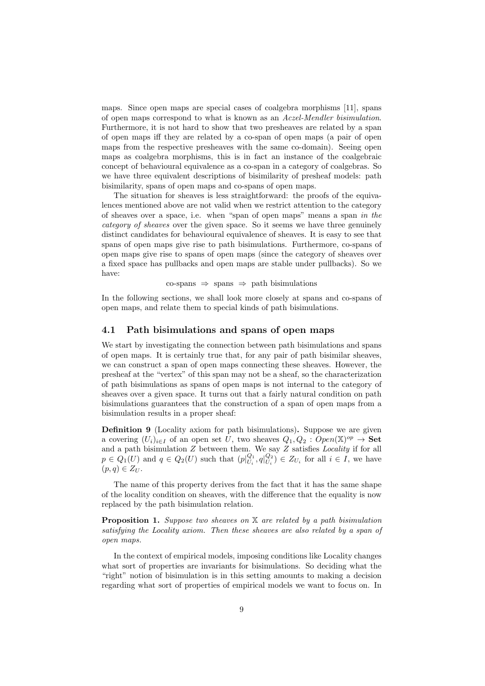maps. Since open maps are special cases of coalgebra morphisms [11], spans of open maps correspond to what is known as an Aczel-Mendler bisimulation. Furthermore, it is not hard to show that two presheaves are related by a span of open maps iff they are related by a co-span of open maps (a pair of open maps from the respective presheaves with the same co-domain). Seeing open maps as coalgebra morphisms, this is in fact an instance of the coalgebraic concept of behavioural equivalence as a co-span in a category of coalgebras. So we have three equivalent descriptions of bisimilarity of presheaf models: path bisimilarity, spans of open maps and co-spans of open maps.

The situation for sheaves is less straightforward: the proofs of the equivalences mentioned above are not valid when we restrict attention to the category of sheaves over a space, i.e. when "span of open maps" means a span in the category of sheaves over the given space. So it seems we have three genuinely distinct candidates for behavioural equivalence of sheaves. It is easy to see that spans of open maps give rise to path bisimulations. Furthermore, co-spans of open maps give rise to spans of open maps (since the category of sheaves over a fixed space has pullbacks and open maps are stable under pullbacks). So we have:

 $\text{co-spans} \Rightarrow \text{spans} \Rightarrow \text{path bisimulations}$ 

In the following sections, we shall look more closely at spans and co-spans of open maps, and relate them to special kinds of path bisimulations.

### 4.1 Path bisimulations and spans of open maps

We start by investigating the connection between path bisimulations and spans of open maps. It is certainly true that, for any pair of path bisimilar sheaves, we can construct a span of open maps connecting these sheaves. However, the presheaf at the "vertex" of this span may not be a sheaf, so the characterization of path bisimulations as spans of open maps is not internal to the category of sheaves over a given space. It turns out that a fairly natural condition on path bisimulations guarantees that the construction of a span of open maps from a bisimulation results in a proper sheaf:

Definition 9 (Locality axiom for path bisimulations). Suppose we are given a covering  $(U_i)_{i\in I}$  of an open set U, two sheaves  $Q_1, Q_2 : Open(\mathbb{X})^{op} \to \mathbf{Set}$ and a path bisimulation  $Z$  between them. We say  $Z$  satisfies *Locality* if for all  $p \in Q_1(U)$  and  $q \in Q_2(U)$  such that  $(p|_{U_i}^{Q_1}, q|_{U_i}^{Q_2}) \in Z_{U_i}$  for all  $i \in I$ , we have  $(p, q) \in Z_U$ .

The name of this property derives from the fact that it has the same shape of the locality condition on sheaves, with the difference that the equality is now replaced by the path bisimulation relation.

**Proposition 1.** Suppose two sheaves on  $X$  are related by a path bisimulation satisfying the Locality axiom. Then these sheaves are also related by a span of open maps.

In the context of empirical models, imposing conditions like Locality changes what sort of properties are invariants for bisimulations. So deciding what the "right" notion of bisimulation is in this setting amounts to making a decision regarding what sort of properties of empirical models we want to focus on. In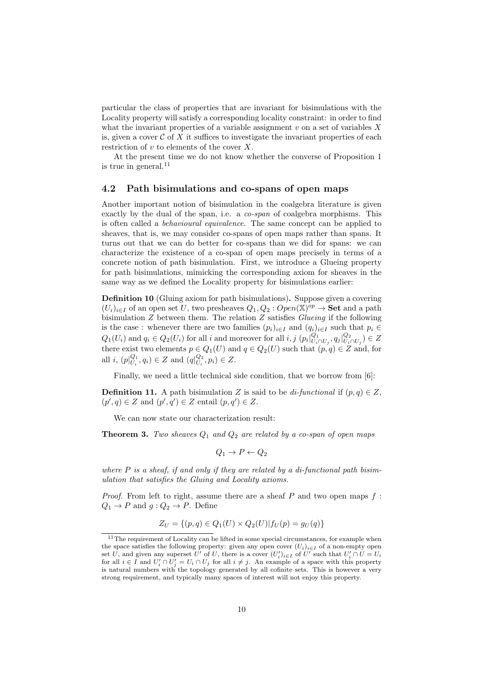particular the class of properties that are invariant for bisimulations with the Locality property will satisfy a corresponding locality constraint: in order to find what the invariant properties of a variable assignment  $v$  on a set of variables  $X$ is, given a cover  $\mathcal C$  of X it suffices to investigate the invariant properties of each restriction of  $v$  to elements of the cover  $X$ .

At the present time we do not know whether the converse of Proposition 1 is true in general. $11$ 

### 4.2 Path bisimulations and co-spans of open maps

Another important notion of bisimulation in the coalgebra literature is given exactly by the dual of the span, i.e. a co-span of coalgebra morphisms. This is often called a behavioural equivalence. The same concept can be applied to sheaves, that is, we may consider co-spans of open maps rather than spans. It turns out that we can do better for co-spans than we did for spans: we can characterize the existence of a co-span of open maps precisely in terms of a concrete notion of path bisimulation. First, we introduce a Glueing property for path bisimulations, mimicking the corresponding axiom for sheaves in the same way as we defined the Locality property for bisimulations earlier:

Definition 10 (Gluing axiom for path bisimulations). Suppose given a covering  $(U_i)_{i\in I}$  of an open set U, two presheaves  $Q_1, Q_2 : Open(\mathbb{X})^{op} \to \mathbf{Set}$  and a path bisimulation  $Z$  between them. The relation  $Z$  satisfies *Glueing* if the following is the case : whenever there are two families  $(p_i)_{i \in I}$  and  $(q_i)_{i \in I}$  such that  $p_i \in$  $Q_1(U_i)$  and  $q_i \in Q_2(U_i)$  for all i and moreover for all  $i, j (p_i|_{U_i \cap U_j}^{Q_1}, q_j|_{U_i \cap U_j}^{Q_2}) \in Z$ there exist two elements  $p \in Q_1(U)$  and  $q \in Q_2(U)$  such that  $(p, q) \in Z$  and, for all *i*,  $(p|_{U_i}^{Q_1}, q_i) \in Z$  and  $(q|_{U_i}^{Q_2}, p_i) \in Z$ .

Finally, we need a little technical side condition, that we borrow from [6]:

**Definition 11.** A path bisimulation Z is said to be di-functional if  $(p, q) \in Z$ ,  $(p', q) \in Z$  and  $(p', q') \in Z$  entail  $(p, q') \in Z$ .

We can now state our characterization result:

**Theorem 3.** Two sheaves  $Q_1$  and  $Q_2$  are related by a co-span of open maps

$$
Q_1 \to P \leftarrow Q_2
$$

where  $P$  is a sheaf, if and only if they are related by a di-functional path bisimulation that satisfies the Gluing and Locality axioms.

*Proof.* From left to right, assume there are a sheaf  $P$  and two open maps  $f$ :  $Q_1 \rightarrow P$  and  $g: Q_2 \rightarrow P$ . Define

$$
Z_U = \{(p, q) \in Q_1(U) \times Q_2(U) | f_U(p) = g_U(q) \}
$$

<sup>&</sup>lt;sup>11</sup>The requirement of Locality can be lifted in some special circumstances, for example when the space satisfies the following property: given any open cover  $(U_i)_{i\in I}$  of a non-empty open set U, and given any superset U' of U, there is a cover  $(U_i')_{i \in I}$  of U' such that  $U_i' \cap U = U_i$ for all  $i \in I$  and  $U'_i \cap U'_j = U_i \cap U_j$  for all  $i \neq j$ . An example of a space with this property is natural numbers with the topology generated by all cofinite sets. This is however a very strong requirement, and typically many spaces of interest will not enjoy this property.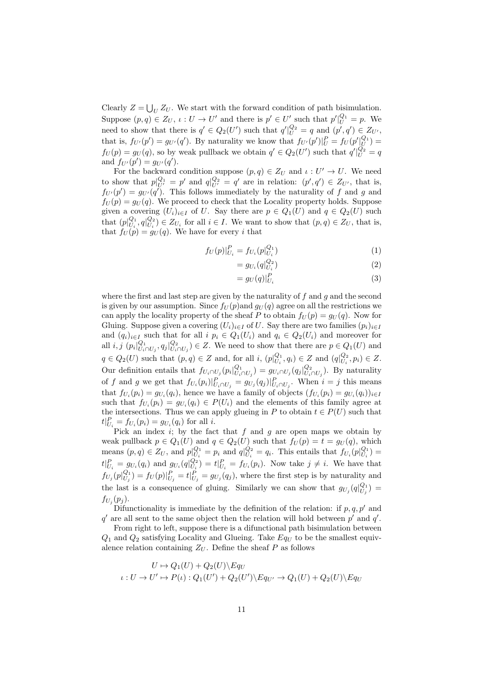Clearly  $Z = \bigcup_U Z_U$ . We start with the forward condition of path bisimulation. Suppose  $(p, q) \in Z_U$ ,  $\iota: U \to U'$  and there is  $p' \in U'$  such that  $p'|_{U}^{Q_1} = p$ . We need to show that there is  $q' \in Q_2(U')$  such that  $q'|_{U}^{Q_2} = q$  and  $(p', q') \in Z_{U'}$ , that is,  $f_{U'}(p') = g_{U'}(q')$ . By naturality we know that  $f_{U'}(p')|_{U}^{P} = f_{U}(p'|_{U}^{Q_1}) =$  $f_U(p) = g_U(q)$ , so by weak pullback we obtain  $q' \in Q_2(U')$  such that  $q'|_{U}^{Q_2} = q$ and  $f_{U'}(p') = g_{U'}(q')$ .

For the backward condition suppose  $(p, q) \in Z_U$  and  $\iota : U' \to U$ . We need to show that  $p|_{U'}^{Q_1} = p'$  and  $q|_{U'}^{Q_2} = q'$  are in relation:  $(p', q') \in Z_{U'}$ , that is,  $f_{U'}(p') = g_{U'}(q')$ . This follows immediately by the naturality of f and g and  $f_U(p) = g_U(q)$ . We proceed to check that the Locality property holds. Suppose given a covering  $(U_i)_{i\in I}$  of U. Say there are  $p \in Q_1(U)$  and  $q \in Q_2(U)$  such that  $(p|_{U_i}^{Q_1}, q|_{U_i}^{Q_2}) \in Z_{U_i}$  for all  $i \in I$ . We want to show that  $(p, q) \in Z_U$ , that is, that  $f_U(p) = g_U(q)$ . We have for every i that

$$
f_U(p)|_{U_i}^P = f_{U_i}(p|_{U_i}^{Q_1})
$$
\n(1)

$$
=g_{U_i}(q|_{U_i}^{Q_2})
$$
\n(2)

$$
=g_U(q)|_{U_i}^P\tag{3}
$$

where the first and last step are given by the naturality of  $f$  and  $g$  and the second is given by our assumption. Since  $f_U(p)$  and  $g_U(q)$  agree on all the restrictions we can apply the locality property of the sheaf P to obtain  $f_U(p) = g_U(q)$ . Now for Gluing. Suppose given a covering  $(U_i)_{i\in I}$  of U. Say there are two families  $(p_i)_{i\in I}$ and  $(q_i)_{i\in I}$  such that for all  $i\,p_i\in Q_1(U_i)$  and  $q_i\in Q_2(U_i)$  and moreover for all  $i, j \ (p_i|_{U_i \cap U_j}^{Q_1}, q_j|_{U_i \cap U_j}^{Q_2}) \in Z$ . We need to show that there are  $p \in Q_1(U)$  and  $q \in Q_2(U)$  such that  $(p, q) \in Z$  and, for all  $i, (p|_{U_i}^{Q_1}, q_i) \in Z$  and  $(q|_{U_i}^{Q_2}, p_i) \in Z$ . Our definition entails that  $f_{U_i \cap U_j}(p_i|_{U_i \cap U_j}^{Q_1}) = g_{U_i \cap U_j}(q_j|_{U_i \cap U_j}^{Q_2})$ . By naturality of f and g we get that  $f_{U_i}(p_i)|_{U_i \cap U_j}^P = g_{U_j}(q_j)|_{U_i \cap U_j}^P$ . When  $i = j$  this means that  $f_{U_i}(p_i) = g_{U_i}(q_i)$ , hence we have a family of objects  $(f_{U_i}(p_i) = g_{U_i}(q_i))_{i \in I}$ such that  $f_{U_i}(p_i) = g_{U_i}(q_i) \in P(U_i)$  and the elements of this family agree at the intersections. Thus we can apply glueing in P to obtain  $t \in P(U)$  such that  $t|_{U_i}^P = f_{U_i}(p_i) = g_{U_i}(q_i)$  for all *i*.

Pick an index i; by the fact that  $f$  and  $g$  are open maps we obtain by weak pullback  $p \in Q_1(U)$  and  $q \in Q_2(U)$  such that  $f_U(p) = t = g_U(q)$ , which means  $(p, q) \in Z_U$ , and  $p|_{U_i}^{Q_1} = p_i$  and  $q|_{U_i}^{Q_2} = q_i$ . This entails that  $f_{U_i}(p|_{U_i}^{Q_1}) =$  $t|_{U_i}^P = g_{U_i}(q_i)$  and  $g_{U_i}(q|_{U_i}^{Q_2}) = t|_{U_i}^P = f_{U_i}(p_i)$ . Now take  $j \neq i$ . We have that  $f_{U_j}(p|_{U_j}^{Q_1}) = f_U(p)|_{U_j}^P = t|_{U_j}^P = g_{U_j}(q_j)$ , where the first step is by naturality and the last is a consequence of gluing. Similarly we can show that  $g_{U_j}(q|_{U_j}^{Q_1}) =$  $f_{U_j}(p_j)$ .

Difunctionality is immediate by the definition of the relation: if  $p, q, p'$  and  $q'$  are all sent to the same object then the relation will hold between  $p'$  and  $q'$ .

From right to left, suppose there is a difunctional path bisimulation between  $Q_1$  and  $Q_2$  satisfying Locality and Glueing. Take  $Eq_U$  to be the smallest equivalence relation containing  $Z_U$ . Define the sheaf  $P$  as follows

$$
U \to Q_1(U) + Q_2(U) \setminus Eq_U
$$
  

$$
\iota: U \to U' \to P(\iota): Q_1(U') + Q_2(U') \setminus Eq_{U'} \to Q_1(U) + Q_2(U) \setminus Eq_U
$$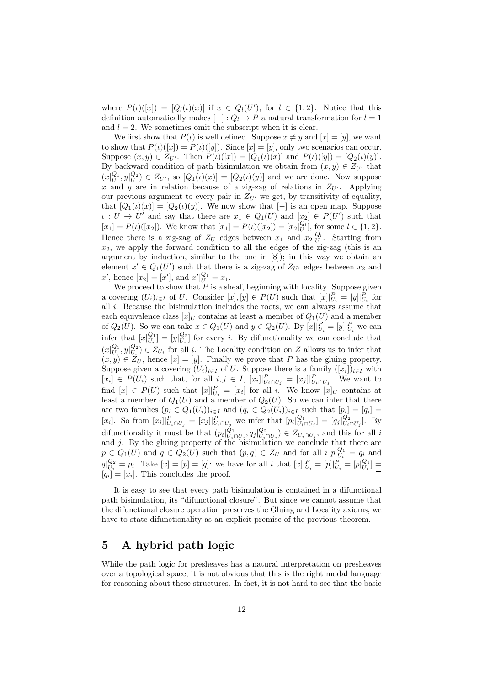where  $P(\iota)([x]) = [Q_{l}(\iota)(x)]$  if  $x \in Q_{l}(U')$ , for  $l \in \{1,2\}$ . Notice that this definition automatically makes  $[-]: Q_l \to P$  a natural transformation for  $l = 1$ and  $l = 2$ . We sometimes omit the subscript when it is clear.

We first show that  $P(t)$  is well defined. Suppose  $x \neq y$  and  $[x] = [y]$ , we want to show that  $P(\iota)([x]) = P(\iota)([y])$ . Since  $[x] = [y]$ , only two scenarios can occur. Suppose  $(x, y) \in Z_{U'}$ . Then  $P(\iota)([x]) = [Q_1(\iota)(x)]$  and  $P(\iota)([y]) = [Q_2(\iota)(y)]$ . By backward condition of path bisimulation we obtain from  $(x, y) \in Z_{U'}$  that  $(x|_U^{Q_1}, y|_U^{Q_2}) \in Z_{U'}$ , so  $[Q_1(\iota)(x)] = [Q_2(\iota)(y)]$  and we are done. Now suppose x and y are in relation because of a zig-zag of relations in  $Z_{U'}$ . Applying our previous argument to every pair in  $Z_{U'}$  we get, by transitivity of equality, that  $[Q_1(\iota)(x)] = [Q_2(\iota)(y)]$ . We now show that  $[-]$  is an open map. Suppose  $\iota: U \to U'$  and say that there are  $x_1 \in Q_1(U)$  and  $[x_2] \in P(U')$  such that  $[x_1] = P(\iota)([x_2])$ . We know that  $[x_1] = P(\iota)([x_2]) = [x_2]_U^{Q_l}$ , for some  $l \in \{1, 2\}$ . Hence there is a zig-zag of  $Z_U$  edges between  $x_1$  and  $x_2|_U^{Q_l}$ . Starting from  $x_2$ , we apply the forward condition to all the edges of the zig-zag (this is an argument by induction, similar to the one in [8]); in this way we obtain an element  $x' \in Q_1(U')$  such that there is a zig-zag of  $Z_{U'}$  edges between  $x_2$  and  $x'$ , hence  $[x_2] = [x']$ , and  $x'|_{U}^{Q_1} = x_1$ .

We proceed to show that  $P$  is a sheaf, beginning with locality. Suppose given a covering  $(U_i)_{i\in I}$  of U. Consider  $[x], [y] \in P(U)$  such that  $[x]|_{U_i}^P = [y]|_{U_i}^P$  for all  $i$ . Because the bisimulation includes the roots, we can always assume that each equivalence class  $[x]_U$  contains at least a member of  $Q_1(U)$  and a member of  $Q_2(U)$ . So we can take  $x \in Q_1(U)$  and  $y \in Q_2(U)$ . By  $[x]|_{U_i}^P = [y]|_{U_i}^P$  we can infer that  $[x|_{U_i}^{Q_1}] = [y|_{U_i}^{Q_2}]$  for every *i*. By difunctionality we can conclude that  $(x|_{U_i}^{Q_1}, y|_{U_i}^{Q_2}) \in Z_{U_i}$  for all *i*. The Locality condition on Z allows us to infer that  $(x, y) \in Z_U$ , hence  $[x] = [y]$ . Finally we prove that P has the gluing property. Suppose given a covering  $(U_i)_{i \in I}$  of U. Suppose there is a family  $([x_i])_{i \in I}$  with  $[x_i] \in P(U_i)$  such that, for all  $i, j \in I$ ,  $[x_i]|_{U_i \cap U_j}^P = [x_j]|_{U_i \cap U_j}^P$ . We want to find  $[x] \in P(U)$  such that  $[x]|_{U_i}^P = [x_i]$  for all i. We know  $[x]_U$  contains at least a member of  $Q_1(U)$  and a member of  $Q_2(U)$ . So we can infer that there are two families  $(p_i \in Q_1(U_i))_{i \in I}$  and  $(q_i \in Q_2(U_i))_{i \in I}$  such that  $[p_i] = [q_i]$ [x<sub>i</sub>]. So from  $[x_i]|_{U_i \cap U_j}^P = [x_j]|_{U_i \cap U_j}^P$  we infer that  $[p_i|_{U_i \cap U_j}^Q] = [q_j|_{U_i \cap U_j}^Q]$ . By difunctionality it must be that  $(p_i|_{U_i \cap U_j}^{Q_1}, q_j|_{U_i \cap U_j}^{Q_2}) \in Z_{U_i \cap U_j}$ , and this for all i and j. By the gluing property of the bisimulation we conclude that there are  $p \in Q_1(U)$  and  $q \in Q_2(U)$  such that  $(p,q) \in Z_U$  and for all  $i p|_{U_i}^{Q_1} = q_i$  and  $q|_{U_i}^{Q_2} = p_i$ . Take  $[x] = [p] = [q]$ : we have for all i that  $[x]|_{U_i}^P = [p]|_{U_i}^P = [p]_{U_i}^{Q_1} =$  $\Box$  $[q_i] = [x_i]$ . This concludes the proof.

It is easy to see that every path bisimulation is contained in a difunctional path bisimulation, its "difunctional closure". But since we cannot assume that the difunctional closure operation preserves the Gluing and Locality axioms, we have to state difunctionality as an explicit premise of the previous theorem.

### 5 A hybrid path logic

While the path logic for presheaves has a natural interpretation on presheaves over a topological space, it is not obvious that this is the right modal language for reasoning about these structures. In fact, it is not hard to see that the basic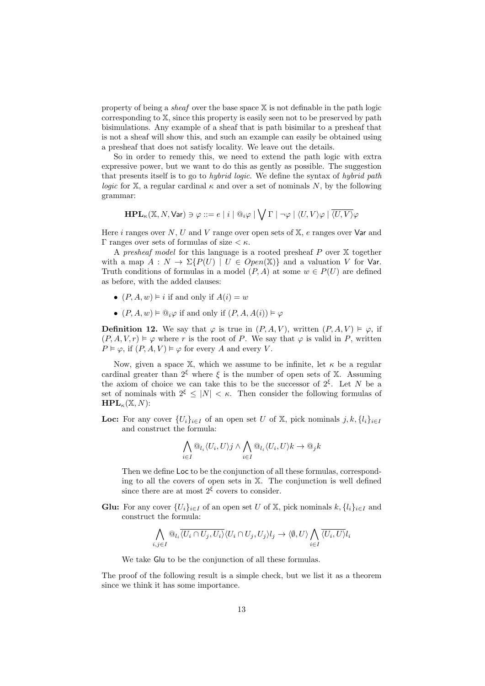property of being a *sheaf* over the base space  $X$  is not definable in the path logic corresponding to X, since this property is easily seen not to be preserved by path bisimulations. Any example of a sheaf that is path bisimilar to a presheaf that is not a sheaf will show this, and such an example can easily be obtained using a presheaf that does not satisfy locality. We leave out the details.

So in order to remedy this, we need to extend the path logic with extra expressive power, but we want to do this as gently as possible. The suggestion that presents itself is to go to hybrid logic. We define the syntax of hybrid path logic for X, a regular cardinal  $\kappa$  and over a set of nominals N, by the following grammar:

$$
\mathbf{HPL}_\kappa(\mathbb{X}, N, \mathsf{Var}) \ni \varphi ::= e \; | \; i \; | \; @_{i}\varphi \; | \; \bigvee \Gamma \; | \; \neg \varphi \; | \; \langle U, V \rangle \varphi \; | \; \overline{\langle U, V \rangle} \varphi
$$

Here  $i$  ranges over  $N, U$  and  $V$  range over open sets of  $X, e$  ranges over  $Var$  and Γ ranges over sets of formulas of size  $\lt$  κ.

A presheaf model for this language is a rooted presheaf  $P$  over  $X$  together with a map  $A: N \to \Sigma\{P(U) \mid U \in Open(\mathbb{X})\}$  and a valuation V for Var. Truth conditions of formulas in a model  $(P, A)$  at some  $w \in P(U)$  are defined as before, with the added clauses:

- $(P, A, w) \models i$  if and only if  $A(i) = w$
- $(P, A, w) \models \mathbb{Q}_i \varphi$  if and only if  $(P, A, A(i)) \models \varphi$

**Definition 12.** We say that  $\varphi$  is true in  $(P, A, V)$ , written  $(P, A, V) \models \varphi$ , if  $(P, A, V, r) \models \varphi$  where r is the root of P. We say that  $\varphi$  is valid in P, written  $P \vDash \varphi$ , if  $(P, A, V) \vDash \varphi$  for every A and every V.

Now, given a space X, which we assume to be infinite, let  $\kappa$  be a regular cardinal greater than  $2^{\xi}$  where  $\xi$  is the number of open sets of X. Assuming the axiom of choice we can take this to be the successor of  $2^{\xi}$ . Let N be a set of nominals with  $2^{\xi} \leq |N| < \kappa$ . Then consider the following formulas of  $HPL_{\kappa}(\mathbb{X}, N)$ :

**Loc:** For any cover  $\{U_i\}_{i\in I}$  of an open set U of X, pick nominals  $j, k, \{l_i\}_{i\in I}$ and construct the formula:

$$
\bigwedge_{i \in I} @_{l_i} \langle U_i, U \rangle j \wedge \bigwedge_{i \in I} @_{l_i} \langle U_i, U \rangle k \to @_{j}k
$$

Then we define Loc to be the conjunction of all these formulas, corresponding to all the covers of open sets in X. The conjunction is well defined since there are at most  $2^{\xi}$  covers to consider.

**Glu:** For any cover  $\{U_i\}_{i\in I}$  of an open set U of X, pick nominals  $k$ ,  $\{l_i\}_{i\in I}$  and construct the formula:

$$
\bigwedge_{i,j\in I}\bigcirc_{l_i}\overline{\langle U_i\cap U_j,U_i\rangle}\langle U_i\cap U_j,U_j\rangle l_j\to\langle\emptyset,U\rangle\bigwedge_{i\in I}\overline{\langle U_i,U\rangle}l_i
$$

We take Glu to be the conjunction of all these formulas.

The proof of the following result is a simple check, but we list it as a theorem since we think it has some importance.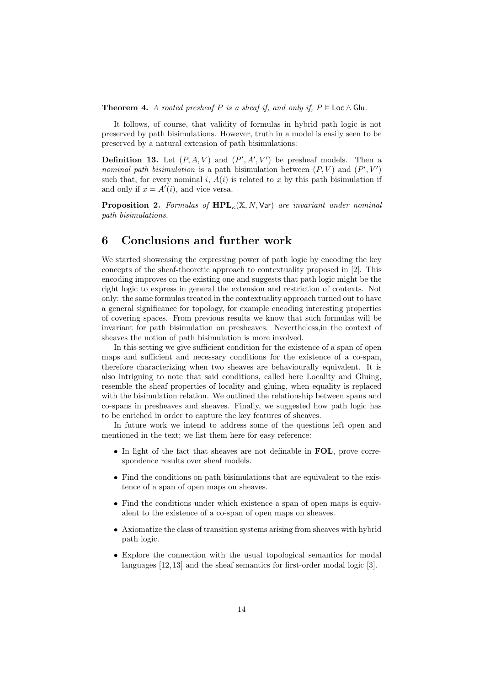Theorem 4. A rooted presheaf P is a sheaf if, and only if,  $P \models \textsf{Loc} \land \textsf{Glu}$ .

It follows, of course, that validity of formulas in hybrid path logic is not preserved by path bisimulations. However, truth in a model is easily seen to be preserved by a natural extension of path bisimulations:

**Definition 13.** Let  $(P, A, V)$  and  $(P', A', V')$  be presheaf models. Then a nominal path bisimulation is a path bisimulation between  $(P, V)$  and  $(P', V')$ such that, for every nominal i,  $A(i)$  is related to x by this path bisimulation if and only if  $x = A'(i)$ , and vice versa.

**Proposition 2.** Formulas of  $\text{HPL}_\kappa(\mathbb{X}, N, \text{Var})$  are invariant under nominal path bisimulations.

### 6 Conclusions and further work

We started showcasing the expressing power of path logic by encoding the key concepts of the sheaf-theoretic approach to contextuality proposed in [2]. This encoding improves on the existing one and suggests that path logic might be the right logic to express in general the extension and restriction of contexts. Not only: the same formulas treated in the contextuality approach turned out to have a general significance for topology, for example encoding interesting properties of covering spaces. From previous results we know that such formulas will be invariant for path bisimulation on presheaves. Nevertheless,in the context of sheaves the notion of path bisimulation is more involved.

In this setting we give sufficient condition for the existence of a span of open maps and sufficient and necessary conditions for the existence of a co-span, therefore characterizing when two sheaves are behaviourally equivalent. It is also intriguing to note that said conditions, called here Locality and Gluing, resemble the sheaf properties of locality and gluing, when equality is replaced with the bisimulation relation. We outlined the relationship between spans and co-spans in presheaves and sheaves. Finally, we suggested how path logic has to be enriched in order to capture the key features of sheaves.

In future work we intend to address some of the questions left open and mentioned in the text; we list them here for easy reference:

- In light of the fact that sheaves are not definable in FOL, prove correspondence results over sheaf models.
- Find the conditions on path bisimulations that are equivalent to the existence of a span of open maps on sheaves.
- Find the conditions under which existence a span of open maps is equivalent to the existence of a co-span of open maps on sheaves.
- Axiomatize the class of transition systems arising from sheaves with hybrid path logic.
- Explore the connection with the usual topological semantics for modal languages [12, 13] and the sheaf semantics for first-order modal logic [3].